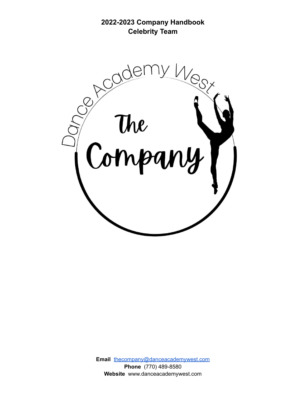**2022-2023 Company Handbook Celebrity Team**



**Email** [thecompany@danceacademywest.com](mailto:thecompany@danceacademywest.com) **Phone** (770) 489-8580 **Website** www.danceacademywest.com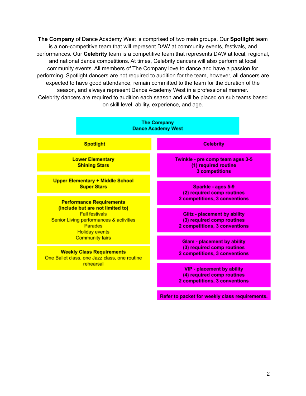**The Company** of Dance Academy West is comprised of two main groups. Our **Spotlight** team is a non-competitive team that will represent DAW at community events, festivals, and performances. Our **Celebrity** team is a competitive team that represents DAW at local, regional, and national dance competitions. At times, Celebrity dancers will also perform at local community events. All members of The Company love to dance and have a passion for performing. Spotlight dancers are not required to audition for the team, however, all dancers are expected to have good attendance, remain committed to the team for the duration of the season, and always represent Dance Academy West in a professional manner. Celebrity dancers are required to audition each season and will be placed on sub teams based on skill level, ability, experience, and age.



Refer to packet for weekly class requirements.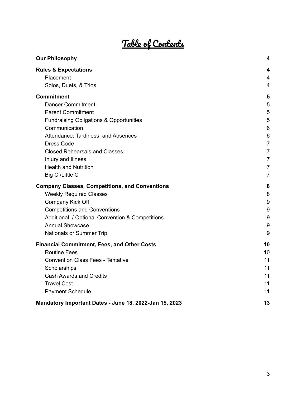# Table of Contents

| <b>Our Philosophy</b>                                  | 4               |
|--------------------------------------------------------|-----------------|
| <b>Rules &amp; Expectations</b>                        | 4               |
| Placement                                              | $\overline{4}$  |
| Solos, Duets, & Trios                                  | 4               |
| <b>Commitment</b>                                      | 5               |
| <b>Dancer Commitment</b>                               | 5               |
| <b>Parent Commitment</b>                               | 5               |
| <b>Fundraising Obligations &amp; Opportunities</b>     | 5               |
| Communication                                          | 6               |
| Attendance, Tardiness, and Absences                    | $6\phantom{1}6$ |
| <b>Dress Code</b>                                      | $\overline{7}$  |
| <b>Closed Rehearsals and Classes</b>                   | $\overline{7}$  |
| Injury and Illness                                     | $\overline{7}$  |
| <b>Health and Nutrition</b>                            | $\overline{7}$  |
| Big C /Little C                                        | $\overline{7}$  |
| <b>Company Classes, Competitions, and Conventions</b>  | 8               |
| <b>Weekly Required Classes</b>                         | 8               |
| Company Kick Off                                       | 9               |
| <b>Competitions and Conventions</b>                    | 9               |
| Additional / Optional Convention & Competitions        | $9\,$           |
| <b>Annual Showcase</b>                                 | 9               |
| Nationals or Summer Trip                               | 9               |
| <b>Financial Commitment, Fees, and Other Costs</b>     | 10              |
| <b>Routine Fees</b>                                    | 10              |
| <b>Convention Class Fees - Tentative</b>               | 11              |
| Scholarships                                           | 11              |
| <b>Cash Awards and Credits</b>                         | 11              |
| <b>Travel Cost</b>                                     | 11              |
| <b>Payment Schedule</b>                                | 11              |
| Mandatory Important Dates - June 18, 2022-Jan 15, 2023 | 13              |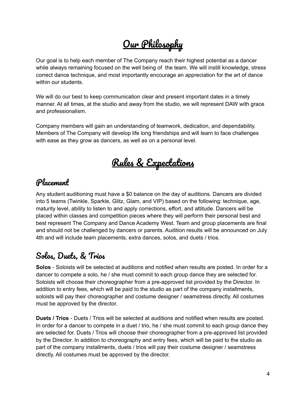# Our Philosophy

<span id="page-3-0"></span>Our goal is to help each member of The Company reach their highest potential as a dancer while always remaining focused on the well being of the team. We will instill knowledge, stress correct dance technique, and most importantly encourage an appreciation for the art of dance within our students.

We will do our best to keep communication clear and present important dates in a timely manner. At all times, at the studio and away from the studio, we will represent DAW with grace and professionalism.

<span id="page-3-1"></span>Company members will gain an understanding of teamwork, dedication, and dependability. Members of The Company will develop life long friendships and will learn to face challenges with ease as they grow as dancers, as well as on a personal level.

Rules & Expectations

#### <span id="page-3-2"></span>Placement

Any student auditioning must have a \$0 balance on the day of auditions. Dancers are divided into 5 teams (Twinkle, Sparkle, Glitz, Glam, and VIP) based on the following: technique, age, maturity level, ability to listen to and apply corrections, effort, and attitude. Dancers will be placed within classes and competition pieces where they will perform their personal best and best represent The Company and Dance Academy West. Team and group placements are final and should not be challenged by dancers or parents. Audition results will be announced on July 4th and will include team placements, extra dances, solos, and duets / trios.

#### <span id="page-3-3"></span>Solos, Duets, & Trios

**Solos** - Soloists will be selected at auditions and notified when results are posted. In order for a dancer to compete a solo, he / she must commit to each group dance they are selected for. Soloists will choose their choreographer from a pre-approved list provided by the Director. In addition to entry fees, which will be paid to the studio as part of the company installments, soloists will pay their choreographer and costume designer / seamstress directly. All costumes must be approved by the director.

**Duets / Trios** - Duets / Trios will be selected at auditions and notified when results are posted. In order for a dancer to compete in a duet  $/$  trio, he  $/$  she must commit to each group dance they are selected for. Duets / Trios will choose their choreographer from a pre-approved list provided by the Director. In addition to choreography and entry fees, which will be paid to the studio as part of the company installments, duets / trios will pay their costume designer / seamstress directly. All costumes must be approved by the director.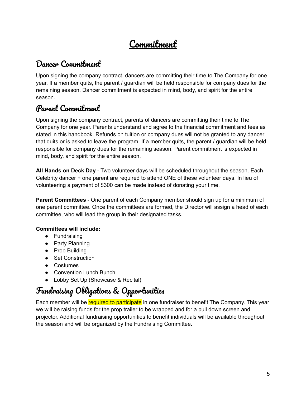## Commitment

#### <span id="page-4-1"></span><span id="page-4-0"></span>Dancer Commitment

Upon signing the company contract, dancers are committing their time to The Company for one year. If a member quits, the parent / guardian will be held responsible for company dues for the remaining season. Dancer commitment is expected in mind, body, and spirit for the entire season.

#### <span id="page-4-2"></span>Parent Commitment

Upon signing the company contract, parents of dancers are committing their time to The Company for one year. Parents understand and agree to the financial commitment and fees as stated in this handbook. Refunds on tuition or company dues will not be granted to any dancer that quits or is asked to leave the program. If a member quits, the parent / guardian will be held responsible for company dues for the remaining season. Parent commitment is expected in mind, body, and spirit for the entire season.

**All Hands on Deck Day** - Two volunteer days will be scheduled throughout the season. Each Celebrity dancer + one parent are required to attend ONE of these volunteer days. In lieu of volunteering a payment of \$300 can be made instead of donating your time.

**Parent Committees** - One parent of each Company member should sign up for a minimum of one parent committee. Once the committees are formed, the Director will assign a head of each committee, who will lead the group in their designated tasks.

#### **Committees will include:**

- Fundraising
- Party Planning
- Prop Building
- Set Construction
- Costumes
- Convention Lunch Bunch
- Lobby Set Up (Showcase & Recital)

## <span id="page-4-3"></span>Fundraising Obligations & Opportunities

Each member will be required to participate in one fundraiser to benefit The Company. This year we will be raising funds for the prop trailer to be wrapped and for a pull down screen and projector. Additional fundraising opportunities to benefit individuals will be available throughout the season and will be organized by the Fundraising Committee.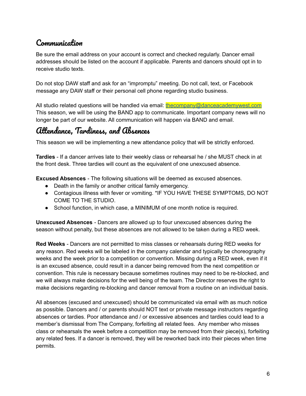#### <span id="page-5-0"></span>Communication

Be sure the email address on your account is correct and checked regularly. Dancer email addresses should be listed on the account if applicable. Parents and dancers should opt in to receive studio texts.

Do not stop DAW staff and ask for an "impromptu" meeting. Do not call, text, or Facebook message any DAW staff or their personal cell phone regarding studio business.

All studio related questions will be handled via email: [thecompany@danceacademywest.com](mailto:thecompany@danceacademywest.com) This season, we will be using the BAND app to communicate. Important company news will no longer be part of our website. All communication will happen via BAND and email.

#### <span id="page-5-1"></span>Attendance, Tardiness, and Absences

This season we will be implementing a new attendance policy that will be strictly enforced.

**Tardies** - If a dancer arrives late to their weekly class or rehearsal he / she MUST check in at the front desk. Three tardies will count as the equivalent of one unexcused absence.

**Excused Absences** - The following situations will be deemed as excused absences.

- Death in the family or another critical family emergency.
- Contagious illness with fever or vomiting. \*IF YOU HAVE THESE SYMPTOMS, DO NOT COME TO THE STUDIO.
- School function, in which case, a MINIMUM of one month notice is required.

**Unexcused Absences** - Dancers are allowed up to four unexcused absences during the season without penalty, but these absences are not allowed to be taken during a RED week.

**Red Weeks** - Dancers are not permitted to miss classes or rehearsals during RED weeks for any reason. Red weeks will be labeled in the company calendar and typically be choreography weeks and the week prior to a competition or convention. Missing during a RED week, even if it is an excused absence, could result in a dancer being removed from the next competition or convention. This rule is necessary because sometimes routines may need to be re-blocked, and we will always make decisions for the well being of the team. The Director reserves the right to make decisions regarding re-blocking and dancer removal from a routine on an individual basis.

All absences (excused and unexcused) should be communicated via email with as much notice as possible. Dancers and / or parents should NOT text or private message instructors regarding absences or tardies. Poor attendance and / or excessive absences and tardies could lead to a member's dismissal from The Company, forfeiting all related fees. Any member who misses class or rehearsals the week before a competition may be removed from their piece(s), forfeiting any related fees. If a dancer is removed, they will be reworked back into their pieces when time permits.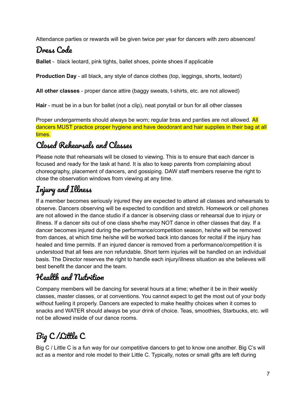Attendance parties or rewards will be given twice per year for dancers with zero absences!

## <span id="page-6-0"></span>Dress Code

**Ballet** - black leotard, pink tights, ballet shoes, pointe shoes if applicable

**Production Day** - all black, any style of dance clothes (top, leggings, shorts, leotard)

**All other classes** - proper dance attire (baggy sweats, t-shirts, etc. are not allowed)

**Hair** - must be in a bun for ballet (not a clip), neat ponytail or bun for all other classes

Proper undergarments should always be worn; regular bras and panties are not allowed. All dancers MUST practice proper hygiene and have deodorant and hair supplies in their bag at all times.

#### <span id="page-6-1"></span>Closed Rehearsals and Classes

Please note that rehearsals will be closed to viewing. This is to ensure that each dancer is focused and ready for the task at hand. It is also to keep parents from complaining about choreography, placement of dancers, and gossiping. DAW staff members reserve the right to close the observation windows from viewing at any time.

## <span id="page-6-2"></span>Injury and Illness

If a member becomes seriously injured they are expected to attend all classes and rehearsals to observe. Dancers observing will be expected to condition and stretch. Homework or cell phones are not allowed in the dance studio if a dancer is observing class or rehearsal due to injury or illness. If a dancer sits out of one class she/he may NOT dance in other classes that day. If a dancer becomes injured during the performance/competition season, he/she will be removed from dances, at which time he/she will be worked back into dances for recital if the injury has healed and time permits. If an injured dancer is removed from a performance/competition it is understood that all fees are non refundable. Short term injuries will be handled on an individual basis. The Director reserves the right to handle each injury/illness situation as she believes will best benefit the dancer and the team.

#### <span id="page-6-3"></span>Health and Nutrition

Company members will be dancing for several hours at a time; whether it be in their weekly classes, master classes, or at conventions. You cannot expect to get the most out of your body without fueling it properly. Dancers are expected to make healthy choices when it comes to snacks and WATER should always be your drink of choice. Teas, smoothies, Starbucks, etc. will not be allowed inside of our dance rooms.

# <span id="page-6-4"></span>Big C /Little C

Big C / Little C is a fun way for our competitive dancers to get to know one another. Big C's will act as a mentor and role model to their Little C. Typically, notes or small gifts are left during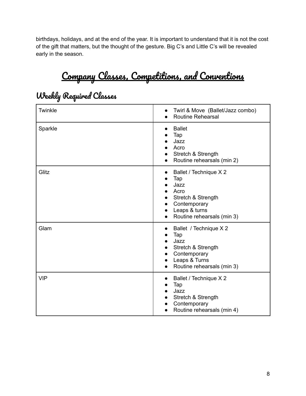<span id="page-7-0"></span>birthdays, holidays, and at the end of the year. It is important to understand that it is not the cost of the gift that matters, but the thought of the gesture. Big C's and Little C's will be revealed early in the season.

# Company Classes, Competitions, and Conventions

| Twinkle    | Twirl & Move (Ballet/Jazz combo)<br><b>Routine Rehearsal</b>                                                                                                              |
|------------|---------------------------------------------------------------------------------------------------------------------------------------------------------------------------|
| Sparkle    | <b>Ballet</b><br>Tap<br>Jazz<br>Acro<br>Stretch & Strength<br>$\bullet$<br>Routine rehearsals (min 2)                                                                     |
| Glitz      | Ballet / Technique X 2<br>$\bullet$<br>Tap<br>Jazz<br>Acro<br>Stretch & Strength<br>$\bullet$<br>Contemporary<br>Leaps & turns<br>$\bullet$<br>Routine rehearsals (min 3) |
| Glam       | Ballet / Technique X 2<br>$\bullet$<br>Tap<br>Jazz<br>Stretch & Strength<br>Contemporary<br>Leaps & Turns<br>$\bullet$<br>Routine rehearsals (min 3)<br>$\bullet$         |
| <b>VIP</b> | Ballet / Technique X 2<br>$\bullet$<br>Tap<br>Jazz<br>Stretch & Strength<br>$\bullet$<br>Contemporary<br>Routine rehearsals (min 4)                                       |

#### <span id="page-7-1"></span>Weekly Required Classes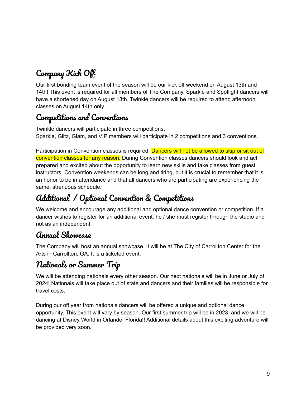# <span id="page-8-0"></span>Company Kick Off

Our first bonding team event of the season will be our kick off weekend on August 13th and 14th! This event is required for all members of The Company. Sparkle and Spotlight dancers will have a shortened day on August 13th. Twinkle dancers will be required to attend afternoon classes on August 14th only.

#### <span id="page-8-1"></span>Competitions and Conventions

Twinkle dancers will participate in three competitions. Sparkle, Glitz, Glam, and VIP members will participate in 2 competitions and 3 conventions.

Participation in Convention classes is required. Dancers will not be allowed to skip or sit out of convention classes for any reason. During Convention classes dancers should look and act prepared and excited about the opportunity to learn new skills and take classes from guest instructors. Convention weekends can be long and tiring, but it is crucial to remember that it is an honor to be in attendance and that all dancers who are participating are experiencing the same, strenuous schedule.

### <span id="page-8-2"></span>Additional / Optional Convention & Competitions

We welcome and encourage any additional and optional dance convention or competition. If a dancer wishes to register for an additional event, he / she must register through the studio and not as an independent.

#### <span id="page-8-3"></span>Annual Showcase

The Company will host an annual showcase. It will be at The City of Carrollton Center for the Arts in Carrollton, GA. It is a ticketed event.

#### <span id="page-8-4"></span>Nationals or Summer Trip

We will be attending nationals every other season. Our next nationals will be in June or July of 2024! Nationals will take place out of state and dancers and their families will be responsible for travel costs.

During our off year from nationals dancers will be offered a unique and optional dance opportunity. This event will vary by season. Our first summer trip will be in 2023, and we will be dancing at Disney World in Orlando, Florida!! Additional details about this exciting adventure will be provided very soon.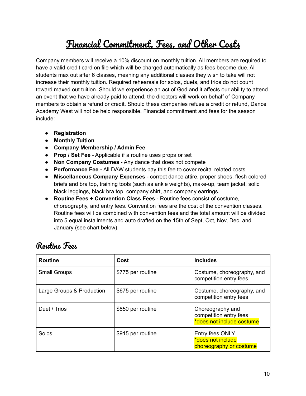# Financial Commitment, Fees, and Other Costs

<span id="page-9-0"></span>Company members will receive a 10% discount on monthly tuition. All members are required to have a valid credit card on file which will be charged automatically as fees become due. All students max out after 6 classes, meaning any additional classes they wish to take will not increase their monthly tuition. Required rehearsals for solos, duets, and trios do not count toward maxed out tuition. Should we experience an act of God and it affects our ability to attend an event that we have already paid to attend, the directors will work on behalf of Company members to obtain a refund or credit. Should these companies refuse a credit or refund, Dance Academy West will not be held responsible. Financial commitment and fees for the season include:

- **Registration**
- **● Monthly Tuition**
- **Company Membership / Admin Fee**
- **Prop / Set Fee** Applicable if a routine uses props or set
- **Non Company Costumes** Any dance that does not compete
- **● Performance Fee -** All DAW students pay this fee to cover recital related costs
- **Miscellaneous Company Expenses** correct dance attire, proper shoes, flesh colored briefs and bra top, training tools (such as ankle weights), make-up, team jacket, solid black leggings, black bra top, company shirt, and company earrings.
- **Routine Fees + Convention Class Fees** Routine fees consist of costume, choreography, and entry fees. Convention fees are the cost of the convention classes. Routine fees will be combined with convention fees and the total amount will be divided into 5 equal installments and auto drafted on the 15th of Sept, Oct, Nov, Dec, and January (see chart below).

| <b>Routine</b>            | Cost              | <b>Includes</b>                                                         |
|---------------------------|-------------------|-------------------------------------------------------------------------|
| <b>Small Groups</b>       | \$775 per routine | Costume, choreography, and<br>competition entry fees                    |
| Large Groups & Production | \$675 per routine | Costume, choreography, and<br>competition entry fees                    |
| Duet / Trios              | \$850 per routine | Choreography and<br>competition entry fees<br>*does not include costume |
| Solos                     | \$915 per routine | Entry fees ONLY<br>*does not include<br>choreography or costume         |

#### <span id="page-9-1"></span>Routine Fees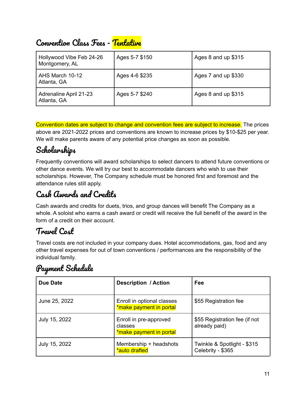| Hollywood Vibe Feb 24-26<br>Montgomery, AL   | Ages 5-7 \$150 | Ages 8 and up \$315 |
|----------------------------------------------|----------------|---------------------|
| AHS March 10-12<br>Atlanta, GA               | Ages 4-6 \$235 | Ages 7 and up \$330 |
| <b>Adrenaline April 21-23</b><br>Atlanta, GA | Ages 5-7 \$240 | Ages 8 and up \$315 |

### <span id="page-10-0"></span>Convention Class Fees - Tentative

Convention dates are subject to change and convention fees are subject to increase. The prices above are 2021-2022 prices and conventions are known to increase prices by \$10-\$25 per year. We will make parents aware of any potential price changes as soon as possible.

### <span id="page-10-1"></span>Scholarships

Frequently conventions will award scholarships to select dancers to attend future conventions or other dance events. We will try our best to accommodate dancers who wish to use their scholarships. However, The Company schedule must be honored first and foremost and the attendance rules still apply.

#### <span id="page-10-2"></span>Cash Awards and Credits

Cash awards and credits for duets, trios, and group dances will benefit The Company as a whole. A soloist who earns a cash award or credit will receive the full benefit of the award in the form of a credit on their account.

#### <span id="page-10-3"></span>Travel Cost

Travel costs are not included in your company dues. Hotel accommodations, gas, food and any other travel expenses for out of town conventions / performances are the responsibility of the individual family.

#### <span id="page-10-4"></span>Payment Schedule

| Due Date      | <b>Description / Action</b>                                  | Fee                                              |
|---------------|--------------------------------------------------------------|--------------------------------------------------|
| June 25, 2022 | Enroll in optional classes<br>*make payment in portal        | \$55 Registration fee                            |
| July 15, 2022 | Enroll in pre-approved<br>classes<br>*make payment in portal | \$55 Registration fee (if not<br>already paid)   |
| July 15, 2022 | Membership + headshots<br>*auto drafted                      | Twinkle & Spotlight - \$315<br>Celebrity - \$365 |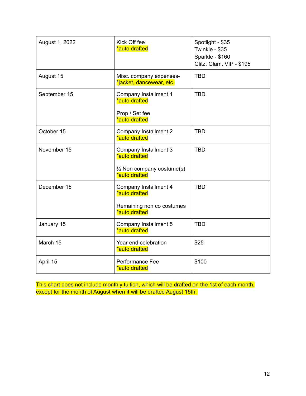| August 1, 2022 | Kick Off fee<br>*auto drafted                                                                   | Spotlight - \$35<br>Twinkle - \$35<br>Sparkle - \$160<br>Glitz, Glam, VIP - \$195 |
|----------------|-------------------------------------------------------------------------------------------------|-----------------------------------------------------------------------------------|
| August 15      | Misc. company expenses-<br>*jacket, dancewear, etc.                                             | <b>TBD</b>                                                                        |
| September 15   | Company Installment 1<br>*auto drafted<br>Prop / Set fee<br>*auto drafted                       | <b>TBD</b>                                                                        |
| October 15     | Company Installment 2<br>*auto drafted                                                          | <b>TBD</b>                                                                        |
| November 15    | Company Installment 3<br>*auto drafted<br>$\frac{1}{2}$ Non company costume(s)<br>*auto drafted | <b>TBD</b>                                                                        |
| December 15    | Company Installment 4<br>*auto drafted<br>Remaining non co costumes<br>*auto drafted            | <b>TBD</b>                                                                        |
| January 15     | Company Installment 5<br>*auto drafted                                                          | <b>TBD</b>                                                                        |
| March 15       | Year end celebration<br>*auto drafted                                                           | \$25                                                                              |
| April 15       | Performance Fee<br>*auto drafted                                                                | \$100                                                                             |

This chart does not include monthly tuition, which will be drafted on the 1st of each month, except for the month of August when it will be drafted August 15th.